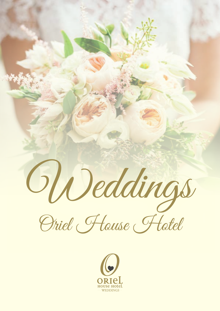

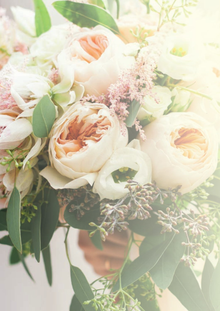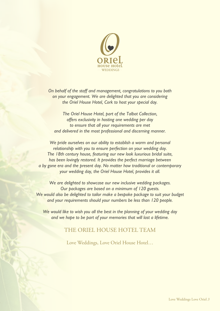

*On behalf of the staff and management, congratulations to you both on your engagement. We are delighted that you are considering the Oriel House Hotel, Cork to host your special day.* 

*The Oriel House Hotel, part of the Talbot Collection, offers exclusivity in hosting one wedding per day to ensure that all your requirements are met and delivered in the most professional and discerning manner.* 

*We pride ourselves on our ability to establish a warm and personal relationship with you to ensure perfection on your wedding day. The 18th century house, featuring our new look luxurious bridal suite, has been lovingly restored. It provides the perfect marriage between a by gone era and the present day. No matter how traditional or contemporary your wedding day, the Oriel House Hotel, provides it all.*

*We are delighted to showcase our new inclusive wedding packages. Our packages are based on a minimum of 120 guests. We would also be delighted to tailor make a bespoke package to suit your budget and your requirements should your numbers be less than 120 people.* 

*We would like to wish you all the best in the planning of your wedding day and we hope to be part of your memories that will last a lifetime.*

# THE ORIEL HOUSE HOTEL TEAM

Love Weddings, Love Oriel House Hotel…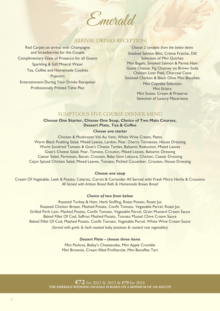Emerald

Red Carpet on arrival with Champagne and Strawberries for the Couple Complimentary Glass of Prosecco for all Guests Sparkling & Still Mineral Water Tea, Coffee and Homemade Cookies Popcorn Entertainment During Your Drinks Reception Professionally Printed Table Plan

*Choose 2 canapes from the below items* Smoked Salmon Blini, Crème Fraiche, Dill Selection of Mini Quiches Mini Bagels, Smoked Salmon & Parma Ham Goats Cheese, Fig Chutney on Brown Soda Chicken Liver Patê, Charcoal Cone Smoked Chicken & Black Olive Mini Bouchée

> Mini Cupcake Selection Mini Eclairs Mini Scone, Cream & Preserve Selection of Luxury Macaroons

# SUMPTUOUS FIVE COURSE DINNER MENU

**Choose One Starter, Choose One Soup, Choice of Two Main Courses, Dessert Plate, Tea & Coffee**

#### *Choose one starter*

Chicken & Mushroom Vol Au Vent, White Wine Cream, Pesto Warm Black Pudding Salad, Mixed Leaves, Lardon, Pear, Cherry Tomatoes, House Dressing Warm Sundried Tomato & Goat's Cheese Tartlet, Balsamic Reduction, Mixed Leaves Goat's Cheese Salad, Pear, Tomato, Crouton, Mixed Leaves, Balsamic Dressing Caesar Salad, Parmesan, Bacon, Crouton, Baby Gem Lettuce, Chicken, Caesar Dressing Cajun Spiced Chicken Salad, Mixed Leaves, Tomato, Pickled Cucumber, Crouton, House Dressing

#### *Choose one soup*

Cream Of Vegetable, Leek & Potato, Celeriac, Carrot & Coriander All Served with Fresh Micro Herbs & Croutons *All Served with Artisan Bread Rolls & Homemade Brown Bread*

#### *Choice of two from below*

Roasted Turkey & Ham, Herb Stuffing, Roast Potato, Roast Jus Roasted Chicken Breast, Mashed Potato, Confit Tomato, Vegetable Parcel, Roast Jus Grilled Pork Loin, Mashed Potato, Confit Tomato, Vegetable Parcel, Grain Mustard Cream Sauce Baked Fillet Of Cod, Saffron Mashed Potato, Tomato Mussel Chive Cream Sauce Baked Fillet Of Cod, Mashed Potato, Confit Tomato, Vegetable Parcel, White Wine Cream Sauce *(Served with garlic & herb roasted baby potatoes & roasted root vegetables)*

#### *Dessert Plate - choose three items*

Mini Pavlova, Bailey's Cheesecake, Mini Apple Crumble Mini Brownie, Cream filled Profiterole, Mini Banoffee Tart

**€72** for 2022 & 2023 & **€79** for 2024 **THE EMERALD WEDDING PACKAGE IS BASED ON A MINIMUM OF 120 ADULTS**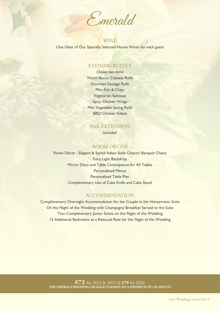Emerald

**WINE** One Glass of Our Specially Selected House Wines for each guest

# EVENING BUFFET

*Choose two items*  Warm Bacon Ciabatta Rolls Gourmet Sausage Rolls Mini Fish & Chips Vegetarian Samosas Spicy Chicken Wings Mini Vegetable Spring Rolls BBQ Chicken Kebab

# BAR EXTENSION

Included

# ROOM DECOR

Room Décor - Elegant & Stylish Italian Style Chiavari Banquet Chairs Fairy Light Backdrop Mirror Discs and Table Centrepieces for All Tables Personalised Menus Personalised Table Plan Complimentary Use of Cake Knife and Cake Stand

# ACCOMMODATION

Complimentary Overnight Accommodation for the Couple in the Honeymoon Suite On the Night of the Wedding with Champagne Breakfast Served to the Suite Two Complimentary Junior Suites on the Night of the Wedding 15 Additional Bedrooms at a Reduced Rate for the Night of the Wedding

**€72** for 2022 & 2023 & **€79** for 2024 **THE EMERALD WEDDING PACKAGE IS BASED ON A MINIMUM OF 120 ADULTS**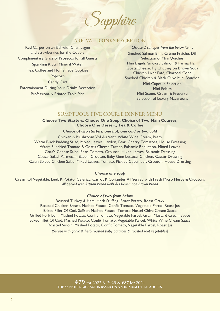Sapphire

Red Carpet on arrival with Champagne and Strawberries for the Couple Complimentary Glass of Prosecco for all Guests Sparkling & Still Mineral Water Tea, Coffee and Homemade Cookies Popcorn Candy Cart Entertainment During Your Drinks Reception

Professionally Printed Table Plan

*Choose 2 canapes from the below items* Smoked Salmon Blini, Crème Fraiche, Dill Selection of Mini Quiches Mini Bagels, Smoked Salmon & Parma Ham Goats Cheese, Fig Chutney on Brown Soda Chicken Liver Patê, Charcoal Cone Smoked Chicken & Black Olive Mini Bouchée

> Mini Cupcake Selection Mini Eclairs Mini Scone, Cream & Preserve Selection of Luxury Macaroons

# SUMPTUOUS FIVE COURSE DINNER MENU

**Choose Two Starters, Choose One Soup, Choice of Two Main Courses, Choose One Dessert, Tea & Coffee**

#### *Choice of two starters, one hot, one cold or two cold*

Chicken & Mushroom Vol Au Vent, White Wine Cream, Pesto Warm Black Pudding Salad, Mixed Leaves, Lardon, Pear, Cherry Tomatoes, House Dressing Warm Sundried Tomato & Goat's Cheese Tartlet, Balsamic Reduction, Mixed Leaves Goat's Cheese Salad, Pear, Tomato, Crouton, Mixed Leaves, Balsamic Dressing Caesar Salad, Parmesan, Bacon, Crouton, Baby Gem Lettuce, Chicken, Caesar Dressing Cajun Spiced Chicken Salad, Mixed Leaves, Tomato, Pickled Cucumber, Crouton, House Dressing

#### *Choose one soup*

Cream Of Vegetable, Leek & Potato, Celeriac, Carrot & Coriander All Served with Fresh Micro Herbs & Croutons *All Served with Artisan Bread Rolls & Homemade Brown Bread*

#### *Choice of two from below*

Roasted Turkey & Ham, Herb Stuffing, Roast Potato, Roast Gravy Roasted Chicken Breast, Mashed Potato, Confit Tomato, Vegetable Parcel, Roast Jus Baked Fillet Of Cod, Saffron Mashed Potato, Tomato Mussel Chive Cream Sauce Grilled Pork Loin, Mashed Potato, Confit Tomato, Vegetable Parcel, Grain Mustard Cream Sauce Baked Fillet Of Cod, Mashed Potato, Confit Tomato, Vegetable Parcel, White Wine Cream Sauce Roasted Sirloin, Mashed Potato, Confit Tomato, Vegetable Parcel, Roast Jus

*(Served with garlic & herb roasted baby potatoes & roasted root vegetables)*

**€79** for 2022 & 2023 & **€87** for 2024 **THE SAPPHIRE PACKAGE IS BASED ON A MINIMUM OF 120 ADULTS.**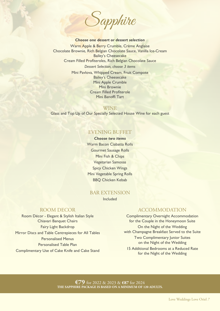Sapphire

*Choose one dessert or dessert selection* Warm Apple & Berry Crumble, Crème Anglaise Chocolate Brownie, Rich Belgian Chocolate Sauce, Vanilla Ice-Cream Bailey's Cheesecake Cream Filled Profiteroles, Rich Belgian Chocolate Sauce *Dessert Selection, choose 3 items* Mini Pavlova, Whipped Cream, Fruit Compote Bailey's Cheesecake Mini Apple Crumble Mini Brownie Cream Filled Profiterole Mini Banoffi Tart

#### WINE

Glass and Top Up of Our Specially Selected House Wine for each guest

# EVENING BUFFET

*Choose two items*  Warm Bacon Ciabatta Rolls Gourmet Sausage Rolls Mini Fish & Chips Vegetarian Samosas Spicy Chicken Wings Mini Vegetable Spring Rolls BBQ Chicken Kebab

# BAR EXTENSION

Included

# ROOM DECOR

Room Décor - Elegant & Stylish Italian Style Chiavari Banquet Chairs Fairy Light Backdrop Mirror Discs and Table Centrepieces for All Tables Personalised Menus Personalised Table Plan Complimentary Use of Cake Knife and Cake Stand

# ACCOMMODATION

Complimentary Overnight Accommodation for the Couple in the Honeymoon Suite On the Night of the Wedding with Champagne Breakfast Served to the Suite Two Complimentary Junior Suites on the Night of the Wedding 15 Additional Bedrooms at a Reduced Rate for the Night of the Wedding

**€79** for 2022 & 2023 & **€87** for 2024 **THE SAPPHIRE PACKAGE IS BASED ON A MINIMUM OF 120 ADULTS.**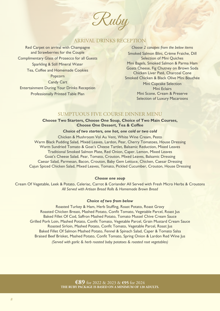Ruby

Red Carpet on arrival with Champagne and Strawberries for the Couple Complimentary Glass of Prosecco for all Guests Sparkling & Still Mineral Water Tea, Coffee and Homemade Cookies Popcorn Candy Cart Entertainment During Your Drinks Reception

Professionally Printed Table Plan

*Choose 2 canapes from the below items* Smoked Salmon Blini, Crème Fraiche, Dill Selection of Mini Quiches Mini Bagels, Smoked Salmon & Parma Ham Goats Cheese, Fig Chutney on Brown Soda Chicken Liver Patê, Charcoal Cone Smoked Chicken & Black Olive Mini Bouchée

> Mini Cupcake Selection Mini Eclairs Mini Scone, Cream & Preserve Selection of Luxury Macaroons

# SUMPTUOUS FIVE COURSE DINNER MENU

**Choose Two Starters, Choose One Soup, Choice of Two Main Courses, Choose One Dessert, Tea & Coffee**

#### *Choice of two starters, one hot, one cold or two cold*

Chicken & Mushroom Vol Au Vent, White Wine Cream, Pesto Warm Black Pudding Salad, Mixed Leaves, Lardon, Pear, Cherry Tomatoes, House Dressing Warm Sundried Tomato & Goat's Cheese Tartlet, Balsamic Reduction, Mixed Leaves Traditional Smoked Salmon Plate, Red Onion, Caper, Lemon, Mixed Leaves Goat's Cheese Salad, Pear, Tomato, Crouton, Mixed Leaves, Balsamic Dressing Caesar Salad, Parmesan, Bacon, Crouton, Baby Gem Lettuce, Chicken, Caesar Dressing Cajun Spiced Chicken Salad, Mixed Leaves, Tomato, Pickled Cucumber, Crouton, House Dressing

#### *Choose one soup*

Cream Of Vegetable, Leek & Potato, Celeriac, Carrot & Coriander All Served with Fresh Micro Herbs & Croutons *All Served with Artisan Bread Rolls & Homemade Brown Bread*

#### *Choice of two from below*

Roasted Turkey & Ham, Herb Stuffing, Roast Potato, Roast Gravy Roasted Chicken Breast, Mashed Potato, Confit Tomato, Vegetable Parcel, Roast Jus Baked Fillet Of Cod, Saffron Mashed Potato, Tomato Mussel Chive Cream Sauce Grilled Pork Loin, Mashed Potato, Confit Tomato, Vegetable Parcel, Grain Mustard Cream Sauce Roasted Sirloin, Mashed Potato, Confit Tomato, Vegetable Parcel, Roast Jus Baked Fillet Of Salmon Mashed Potato, Fennel & Spinach Salad, Caper & Tomato Salsa Braised Beef Brisket, Mashed Potato, Confit Tomato, Spring Onion & Lardon Red Wine Jus

*(Served with garlic & herb roasted baby potatoes & roasted root vegetables)*

**€89** for 2022 & 2023 & **€95** for 2024 **THE RUBY PACKAGE IS BASED ON A MINIMUM OF 120 ADULTS.**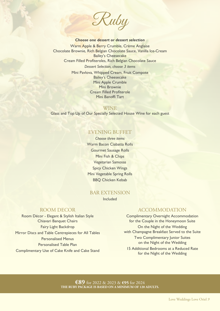Ruby

#### *Choose one dessert or dessert selection*

Warm Apple & Berry Crumble, Crème Anglaise Chocolate Brownie, Rich Belgian Chocolate Sauce, Vanilla Ice-Cream Bailey's Cheesecake Cream Filled Profiteroles, Rich Belgian Chocolate Sauce *Dessert Selection, choose 3 items* Mini Pavlova, Whipped Cream, Fruit Compote Bailey's Cheesecake Mini Apple Crumble Mini Brownie Cream Filled Profiterole Mini Banoffi Tart

#### WINE

Glass and Top Up of Our Specially Selected House Wine for each guest

# EVENING BUFFET

*Choose three items*  Warm Bacon Ciabatta Rolls Gourmet Sausage Rolls Mini Fish & Chips Vegetarian Samosas Spicy Chicken Wings Mini Vegetable Spring Rolls BBQ Chicken Kebab

# BAR EXTENSION

Included

### ROOM DECOR

Room Décor - Elegant & Stylish Italian Style Chiavari Banquet Chairs Fairy Light Backdrop Mirror Discs and Table Centrepieces for All Tables Personalised Menus Personalised Table Plan Complimentary Use of Cake Knife and Cake Stand

# ACCOMMODATION

Complimentary Overnight Accommodation for the Couple in the Honeymoon Suite On the Night of the Wedding with Champagne Breakfast Served to the Suite Two Complimentary Junior Suites on the Night of the Wedding 15 Additional Bedrooms at a Reduced Rate for the Night of the Wedding

**€89** for 2022 & 2023 & **€95** for 2024 **THE RUBY PACKAGE IS BASED ON A MINIMUM OF 120 ADULTS.**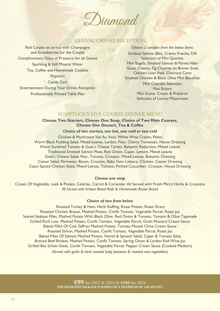Diamond

Red Carpet on arrival with Champagne and Strawberries for the Couple Complimentary Glass of Prosecco for all Guests Sparkling & Still Mineral Water Tea, Coffee and Homemade Cookies Popcorn Candy Cart Entertainment During Your Drinks Reception

Professionally Printed Table Plan

*Choose 2 canapes from the below items* Smoked Salmon Blini, Crème Fraiche, Dill Selection of Mini Quiches Mini Bagels, Smoked Salmon & Parma Ham Goats Cheese, Fig Chutney on Brown Soda Chicken Liver Patê, Charcoal Cone Smoked Chicken & Black Olive Mini Bouchée

> Mini Cupcake Selection Mini Eclairs Mini Scone, Cream & Preserve Selection of Luxury Macaroons

# SUMPTUOUS FIVE COURSE DINNER MENU

**Choose Two Starters, Choose One Soup, Choice of Two Main Courses, Choose One Dessert, Tea & Coffee**

#### *Choice of two starters, one hot, one cold or two cold*

Chicken & Mushroom Vol Au Vent, White Wine Cream, Pesto Warm Black Pudding Salad, Mixed Leaves, Lardon, Pear, Cherry Tomatoes, House Dressing Warm Sundried Tomato & Goat's Cheese Tartlet, Balsamic Reduction, Mixed Leaves Traditional Smoked Salmon Plate, Red Onion, Caper, Lemon, Mixed Leaves Goat's Cheese Salad, Pear, Tomato, Crouton, Mixed Leaves, Balsamic Dressing Caesar Salad, Parmesan, Bacon, Crouton, Baby Gem Lettuce, Chicken, Caesar Dressing Cajun Spiced Chicken Salad, Mixed Leaves, Tomato, Pickled Cucumber, Crouton, House Dressing

#### *Choose one soup*

Cream Of Vegetable, Leek & Potato, Celeriac, Carrot & Coriander All Served with Fresh Micro Herbs & Croutons *All Served with Artisan Bread Rolls & Homemade Brown Bread*

#### *Choice of two from below*

 Roasted Turkey & Ham, Herb Stuffing, Roast Potato, Roast Gravy Roasted Chicken Breast, Mashed Potato, Confit Tomato, Vegetable Parcel, Roast Jus Seared Seabass Fillet, Mashed Potato With Black Olive, Red Onion & Tomato, Tomato & Olive Tapenade Grilled Pork Loin, Mashed Potato, Confit Tomato, Vegetable Parcel, Grain Mustard Cream Sauce Baked Fillet Of Cod, Saffron Mashed Potato, Tomato Mussel Chive Cream Sauce Roasted Sirloin, Mashed Potato, Confit Tomato, Vegetable Parcel, Roast Jus Baked Fillet Of Salmon Mashed Potato, Fennel & Spinach Salad, Caper & Tomato Salsa Braised Beef Brisket, Mashed Potato, Confit Tomato, Spring Onion & Lardon Red Wine Jus Grilled 8oz Sirloin Steak, Confit Tomato, Vegetable Parcel, Pepper Cream Sauce (Cooked Medium)

*(Served with garlic & herb roasted baby potatoes & roasted root vegetables)*

**€99** for 2022 & 2023 & **€105** for 2024 **THE DIAMOND PACKAGE IS BASED ON A MINIMUM OF 120 ADULTS.**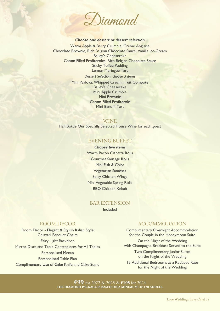Diamond

#### *Choose one dessert or dessert selection*

Warm Apple & Berry Crumble, Crème Anglaise Chocolate Brownie, Rich Belgian Chocolate Sauce, Vanilla Ice-Cream Bailey's Cheesecake Cream Filled Profiteroles, Rich Belgian Chocolate Sauce Sticky Toffee Pudding Lemon Meringue Tart

*Dessert Selection, choose 3 items*

Mini Pavlova, Whipped Cream, Fruit Compote Bailey's Cheesecake Mini Apple Crumble Mini Brownie Cream Filled Profiterole Mini Banoffi Tart

#### **WINE**

Half Bottle Our Specially Selected House Wine for each guest

### EVENING BUFFET

*Choose five items* Warm Bacon Ciabatta Rolls Gourmet Sausage Rolls Mini Fish & Chips Vegetarian Samosas Spicy Chicken Wings Mini Vegetable Spring Rolls BBQ Chicken Kebab

#### BAR EXTENSION

Included

### ROOM DECOR

Room Décor - Elegant & Stylish Italian Style Chiavari Banquet Chairs Fairy Light Backdrop Mirror Discs and Table Centrepieces for All Tables Personalised Menus Personalised Table Plan Complimentary Use of Cake Knife and Cake Stand

# ACCOMMODATION

Complimentary Overnight Accommodation for the Couple in the Honeymoon Suite

On the Night of the Wedding with Champagne Breakfast Served to the Suite

> Two Complimentary Junior Suites on the Night of the Wedding

15 Additional Bedrooms at a Reduced Rate for the Night of the Wedding

**€99** for 2022 & 2023 & **€105** for 2024 **THE DIAMOND PACKAGE IS BASED ON A MINIMUM OF 120 ADULTS.**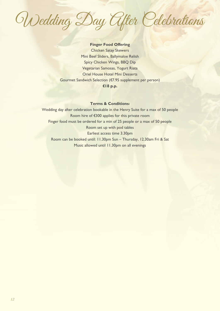Wedding Day After Celebrations

#### **Finger Food Offering**

Chicken Satay Skewers Mini Beef Sliders, Ballymaloe Relish Spicy Chicken Wings, BBQ Dip Vegetarian Samosas, Yogurt Riata Oriel House Hotel Mini Desserts Gourmet Sandwich Selection (€7.95 supplement per person) **€18 p.p.**

#### **Terms & Conditions:**

Wedding day after celebration bookable in the Henry Suite for a max of 50 people Room hire of €300 applies for this private room Finger food must be ordered for a min of 25 people or a max of 50 people Room set up with pod tables Earliest access time 3.30pm Room can be booked until: 11.30pm Sun – Thursday, 12.30am Fri & Sat Music allowed until 11.30pm on all evenings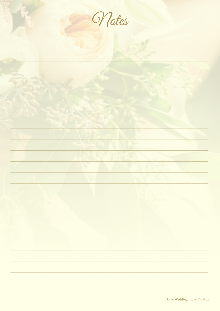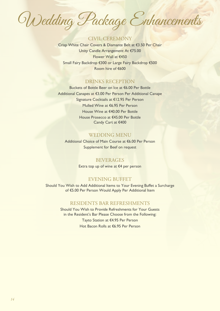Wedding Package Enhancements

### CIVIL CEREMONY

Crisp White Chair Covers & Diamante Belt at €3.50 Per Chair Unity Candle Arrangement At €75.00 Flower Wall at €450 Small Fairy Backdrop €300 or Large Fairy Backdrop €500 Room hire of €600

# DRINKS RECEPTION

Buckets of Bottle Beer on Ice at €6.00 Per Bottle Additional Canapes at €3.00 Per Person Per Additional Canape Signature Cocktails at €12.95 Per Person Mulled Wine at €6.95 Per Person House Wine at €40.00 Per Bottle House Prosecco at €45.00 Per Bottle Candy Cart at €400

# WEDDING MENU

Additional Choice of Main Course at €6.00 Per Person Supplement for Beef on request

# **BEVERAGES**

Extra top up of wine at €4 per person

# EVENING BUFFET

Should You Wish to Add Additional Items to Your Evening Buffet a Surcharge of €5.00 Per Person Would Apply Per Additional Item

### RESIDENTS BAR REFRESHMENTS

Should You Wish to Provide Refreshments for Your Guests in the Resident's Bar Please Choose from the Following: Tayto Station at €4.95 Per Person Hot Bacon Rolls at €6.95 Per Person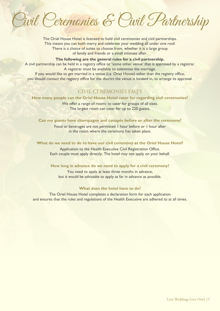Civil Ceremonies & Civil Partnership

The Oriel House Hotel is licensed to hold civil ceremonies and civil partnerships. This means you can both marry and celebrate your wedding all under one roof. There is a choice of suites to choose from, whether it is a large group of family and friends or a small intimate affair.

#### **The following are the general rules for a civil partnership.**

A civil partnership can be held in a registry office or 'some other venue' that is approved by a registrar. A registrar must be available to solemnise the marriage.

If you would like to get married in a venue (i.e. Oriel House) other than the registry office, you should contact the registry office for the district the venue is located in, to arrange its approval.

# CIVIL CEREMONIES FAQ'S

#### **How many people can the Oriel House Hotel cater for regarding civil ceremonies?**

We offer a range of rooms to cater for groups of all sizes. The largest room can cater for up to 220 guests.

#### **Can my guests have champagne and canapés before or after the ceremony?**

Food or beverages are not permitted 1 hour before or 1 hour after in the room where the ceremony has taken place.

#### **What do we need to do to have our civil ceremony at the Oriel House Hotel?**

Application to the Health Executive Civil Registration Office. Each couple must apply directly. The hotel may not apply on your behalf.

#### **How long in advance do we need to apply for a civil ceremony?**

You need to apply at least three months in advance, but it would be advisable to apply as far in advance as possible.

#### **What does the hotel have to do?**

The Oriel House Hotel completes a declaration form for each application and ensures that the rules and regulations of the Health Executive are adhered to at all times.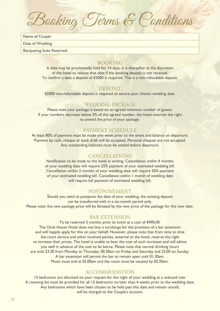Booking Terms & Conditions

Name of Couple:

Date of Wedding:

Banqueting Suite Reserved:

# BOOKING

A date may be provisionally held for 14 days, it is thereafter at the discretion of the hotel to release that date if the booking deposit is not received. To confirm a date a deposit of €2000 is required. This is a non-refundable deposit.

### DEPOSIT

€2000 non-refundable deposit is required to secure your chosen wedding date.

# WEDDING PACKAGE

Please note your package is based on an agreed minimum number of guests. If your numbers decrease below 5% of this agreed number, the hotel reserves the right to amend the price of your package.

# PAYMENT SCHEDULE

At least 80% of payment must be made one week prior to the event and balance on departure. Payment by cash, cheque or bank draft will be accepted. Personal cheques are not accepted. Any outstanding balances must be settled before departure.

# CANCELLATIONS

Notification to be made to the hotel in writing. Cancellation within 4 months of your wedding date will require 25% payment of your estimated wedding bill. Cancellation within 2 months of your wedding date will require 50% payment of your estimated wedding bill. Cancellation within 1 month of wedding date will require full payment of estimated wedding bill.

# POSTPONEMENT

Should you need to postpone the date of your wedding, the existing deposit can be transferred with in a six-month period only. Please note: the new package price will be dictated by the new price of the package for the new date.

# BAR EXTENSION

To be reserved 3 months prior to event at a cost of €490.00. The Oriel House Hotel does not levy a surcharge for the provision of a bar extension and will happily apply for this on your behalf. However, please note that from time to time the court service and other involved parties, external to the hotel, reserve the right to increase their prices. The hotel is unable to bear the cost of such increases and will advise you well in advance of the cost to be borne. Please note that normal drinking hours are until 23.30 from Monday to Thursday, 00.30am on Friday and Saturday and 23.00 on Sunday. A bar extension will permit the bar to remain open until 01.30am. Music must end at 02.00am and the room must be vacated by 02.30am.

# ACCOMMODATION

15 bedrooms are allocated on your request for the night of your wedding at a reduced rate. A rooming list must be provided for all 15 bedrooms no later than 4 weeks prior to the wedding date. Any bedrooms which have been chosen to be held past this date and remain unsold, will be charged to the Couple's account.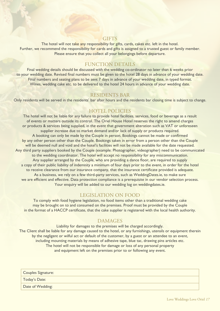### **GIFTS**

The hotel will not take any responsibility for gifts, cards, cakes etc. left in the hotel. Further, we recommend the responsibility for cards and gifts is assigned to a trusted guest or family member. Please ensure that you collect all your belongings before departure.

# FUNCTION DETAILS

Final wedding details should be discussed with the wedding co-ordinator no later than 6 weeks prior to your wedding date. Revised final numbers must be given to the hotel 28 days in advance of your wedding date. Final numbers and seating plans to be sent 7 days in advance of your wedding date, in typed format. Wines, wedding cake etc. to be delivered to the hotel 24 hours in advance of your wedding date.

# RESIDENTS BAR

Only residents will be served in the residents' bar after hours and the residents bar closing time is subject to change.

# HOTEL POLICIES

The hotel will not be liable for any failure to provide hotel facilities, services, food or beverage as a result of events or matters outside its control. The Oriel House Hotel reserves the right to amend charges or products & services being supplied, in the event that government alteration such as VAT or unforeseen supplier increase due to market demand and/or lack of supply or products required. A booking can only be made by the Couple in person. Bookings cannot be made or confirmed by any other person other than the Couple. Bookings taken in error from a person other than the Couple will be deemed null and void and the hotel's facilities will not be made available for the date requested. Any third party suppliers booked by the Couple (example: Photographer, videographer) need to be communicated to the wedding coordinator. The hotel will accept no responsibility for any miscommunication. Any supplier arranged by the Couple, who are providing a dance floor, are required to supply a copy of their public liability of indemnity a minimum of four days prior to the event, in order for the hotel to receive clearance from our insurance company, that the insurance certificate provided is adequate. As a business, we rely on a few third-party services, such as WeddingDates.ie, to make sure we are efficient and effective. Data protection compliance is a prerequisite in our vendor selection process. Your enquiry will be added to our wedding log on weddingdates.ie.

# LEGISLATION ON FOOD

To comply with food hygiene legislation, no food items other than a traditional wedding cake may be brought on to and consumed on the premises. Proof must be provided by the Couple in the format of a HACCP certificate, that the cake supplier is registered with the local health authority.

# DAMAGES

Liability for damages to the premises will be charged accordingly. The Client shall be liable for any damage caused to the hotel, or any furnishings, utensils or equipment therein by the negligent or wilful act or default of the customer, by a guest or an attendee to an event, including mounting materials by means of adhesive tape, blue tac, drawing pins articles etc. The hotel will not be responsible for damage or loss of any personal property and equipment left on the premises prior to or following any event.

Couples Signature:

#### Today's Date:

Date of Wedding: